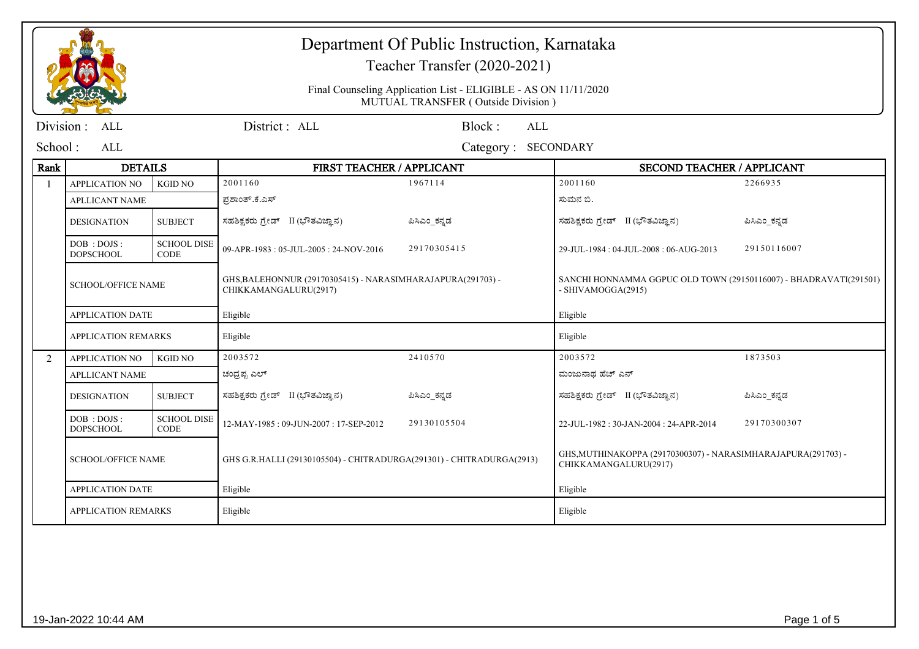## Department Of Public Instruction, Karnataka

Teacher Transfer (2020-2021)

Final Counseling Application List - ELIGIBLE - AS ON 11/11/2020MUTUAL TRANSFER ( Outside Division )

|         | Division : ALL                      |                                   | District : ALL                                                                       | Block:              | ALL |                                                                                         |              |
|---------|-------------------------------------|-----------------------------------|--------------------------------------------------------------------------------------|---------------------|-----|-----------------------------------------------------------------------------------------|--------------|
| School: | ALL                                 |                                   |                                                                                      | Category: SECONDARY |     |                                                                                         |              |
| Rank    | <b>DETAILS</b>                      |                                   | <b>FIRST TEACHER / APPLICANT</b>                                                     |                     |     | <b>SECOND TEACHER / APPLICANT</b>                                                       |              |
|         | APPLICATION NO                      | <b>KGID NO</b>                    | 2001160                                                                              | 1967114             |     | 2001160                                                                                 | 2266935      |
|         | <b>APLLICANT NAME</b>               |                                   | ಪ್ರಶಾಂತ್.ಕೆ.ಎಸ್                                                                      |                     |     | ಸುಮನ ಬಿ.                                                                                |              |
|         | <b>DESIGNATION</b>                  | <b>SUBJECT</b>                    | ಸಹಶಿಕ್ಷಕರು ಗ್ರೇಡ್ II (ಭೌತವಿಜ್ಞಾನ)                                                    | ಪಿಸಿಎಂ_ಕನ್ನಡ        |     | ಸಹಶಿಕ್ಷಕರು ಗ್ರೇಡ್ II (ಭೌತವಿಜ್ಞಾನ)                                                       | ಪಿಸಿಎಂ_ಕನ್ನಡ |
|         | DOB: DOJS:<br><b>DOPSCHOOL</b>      | <b>SCHOOL DISE</b><br><b>CODE</b> | 09-APR-1983: 05-JUL-2005: 24-NOV-2016                                                | 29170305415         |     | 29-JUL-1984: 04-JUL-2008: 06-AUG-2013                                                   | 29150116007  |
|         | <b>SCHOOL/OFFICE NAME</b>           |                                   | GHS, BALEHONNUR (29170305415) - NARASIMHARAJAPURA(291703) -<br>CHIKKAMANGALURU(2917) |                     |     | SANCHI HONNAMMA GGPUC OLD TOWN (29150116007) - BHADRAVATI(291501)<br>- SHIVAMOGGA(2915) |              |
|         | <b>APPLICATION DATE</b><br>Eligible |                                   |                                                                                      | Eligible            |     |                                                                                         |              |
|         | <b>APPLICATION REMARKS</b>          |                                   | Eligible                                                                             |                     |     | Eligible                                                                                |              |
| 2       | <b>APPLICATION NO</b>               | <b>KGID NO</b>                    | 2003572                                                                              | 2410570             |     | 2003572                                                                                 | 1873503      |
|         | <b>APLLICANT NAME</b>               |                                   | ಚಂದ್ರಪ್ಪ ಎಲ್                                                                         |                     |     | ಮಂಜುನಾಥ ಹೆಚ್ ಎನ್                                                                        |              |
|         | <b>DESIGNATION</b>                  | <b>SUBJECT</b>                    | ಸಹಶಿಕ್ಷಕರು ಗ್ರೇಡ್ II (ಭೌತವಿಜ್ಞಾನ)                                                    | ಪಿಸಿಎಂ ಕನ್ನಡ        |     | ಸಹಶಿಕ್ಷಕರು ಗ್ರೇಡ್ II (ಭೌತವಿಜ್ಞಾನ)                                                       | ಪಿಸಿಎಂ ಕನ್ನಡ |
|         | DOB : DOJS :<br><b>DOPSCHOOL</b>    | <b>SCHOOL DISE</b><br><b>CODE</b> | 12-MAY-1985: 09-JUN-2007: 17-SEP-2012                                                | 29130105504         |     | 22-JUL-1982: 30-JAN-2004: 24-APR-2014                                                   | 29170300307  |
|         | <b>SCHOOL/OFFICE NAME</b>           |                                   | GHS G.R.HALLI (29130105504) - CHITRADURGA(291301) - CHITRADURGA(2913)                |                     |     | GHS, MUTHINAKOPPA (29170300307) - NARASIMHARAJAPURA(291703) -<br>CHIKKAMANGALURU(2917)  |              |
|         | <b>APPLICATION DATE</b><br>Eligible |                                   |                                                                                      | Eligible            |     |                                                                                         |              |
|         | <b>APPLICATION REMARKS</b>          |                                   | Eligible                                                                             |                     |     | Eligible                                                                                |              |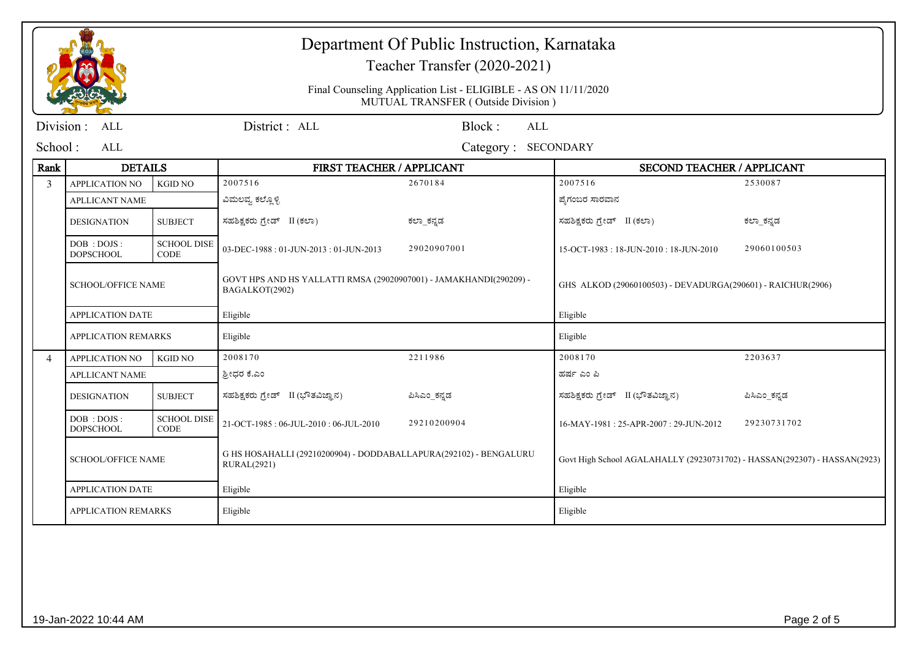|                |                                  |                                   |                                                                                         | Department Of Public Instruction, Karnataka<br>Teacher Transfer (2020-2021)<br>Final Counseling Application List - ELIGIBLE - AS ON 11/11/2020<br>MUTUAL TRANSFER (Outside Division) |                                                                           |              |
|----------------|----------------------------------|-----------------------------------|-----------------------------------------------------------------------------------------|--------------------------------------------------------------------------------------------------------------------------------------------------------------------------------------|---------------------------------------------------------------------------|--------------|
| Division :     | ALL                              |                                   | District: ALL                                                                           | Block:<br>ALL                                                                                                                                                                        |                                                                           |              |
| School:        | ALL                              |                                   |                                                                                         | Category: SECONDARY                                                                                                                                                                  |                                                                           |              |
| Rank           | <b>DETAILS</b>                   |                                   | FIRST TEACHER / APPLICANT                                                               |                                                                                                                                                                                      | SECOND TEACHER / APPLICANT                                                |              |
| $\mathcal{E}$  | <b>APPLICATION NO</b>            | <b>KGID NO</b>                    | 2007516                                                                                 | 2670184                                                                                                                                                                              | 2007516                                                                   | 2530087      |
|                | <b>APLLICANT NAME</b>            |                                   | ವಿಮಲವ್ಯ ಕಲ್ಲೊಳ್ಳಿ                                                                       |                                                                                                                                                                                      | ಪ್ರೆಗಂಬರ ಸಾರವಾನ                                                           |              |
|                | <b>DESIGNATION</b>               | <b>SUBJECT</b>                    | ಸಹಶಿಕ್ಷಕರು ಗ್ರೇಡ್ II (ಕಲಾ)                                                              | ಕಲ್_ಾಕನ್ನಡ                                                                                                                                                                           | ಸಹಶಿಕ್ಷಕರು ಗ್ರೇಡ್ II (ಕಲಾ)                                                | ಕಲ್_ಕನ್ನಡ    |
|                | DOB : DOJS :<br><b>DOPSCHOOL</b> | <b>SCHOOL DISE</b><br><b>CODE</b> | 03-DEC-1988: 01-JUN-2013: 01-JUN-2013                                                   | 29020907001                                                                                                                                                                          | 15-OCT-1983: 18-JUN-2010: 18-JUN-2010                                     | 29060100503  |
|                | <b>SCHOOL/OFFICE NAME</b>        |                                   | GOVT HPS AND HS YALLATTI RMSA (29020907001) - JAMAKHANDI(290209) -<br>BAGALKOT(2902)    |                                                                                                                                                                                      | GHS ALKOD (29060100503) - DEVADURGA(290601) - RAICHUR(2906)               |              |
|                | <b>APPLICATION DATE</b>          |                                   | Eligible                                                                                |                                                                                                                                                                                      | Eligible                                                                  |              |
|                | <b>APPLICATION REMARKS</b>       |                                   | Eligible                                                                                |                                                                                                                                                                                      | Eligible                                                                  |              |
| $\overline{4}$ | <b>APPLICATION NO</b>            | <b>KGID NO</b>                    | 2008170                                                                                 | 2211986                                                                                                                                                                              | 2008170                                                                   | 2203637      |
|                | <b>APLLICANT NAME</b>            |                                   | ಶ್ರೀಧರ ಕೆ.ಎಂ                                                                            |                                                                                                                                                                                      | ಹರ್ಷ ಎಂ ಪಿ                                                                |              |
|                | <b>DESIGNATION</b>               | <b>SUBJECT</b>                    | ಸಹಶಿಕ್ಷಕರು ಗ್ರೇಡ್ II (ಭೌತವಿಜ್ಞಾನ)                                                       | ಪಿಸಿಎಂ_ಕನ್ನಡ                                                                                                                                                                         | ಸಹಶಿಕ್ಷಕರು ಗ್ರೇಡ್ II (ಭೌತವಿಜ್ಞಾನ)                                         | ಪಿಸಿಎಂ ಕನ್ನಡ |
|                | DOB : DOJS :<br><b>DOPSCHOOL</b> | <b>SCHOOL DISE</b><br><b>CODE</b> | 21-OCT-1985: 06-JUL-2010: 06-JUL-2010                                                   | 29210200904                                                                                                                                                                          | 16-MAY-1981: 25-APR-2007: 29-JUN-2012                                     | 29230731702  |
|                | <b>SCHOOL/OFFICE NAME</b>        |                                   | G HS HOSAHALLI (29210200904) - DODDABALLAPURA(292102) - BENGALURU<br><b>RURAL(2921)</b> |                                                                                                                                                                                      | Govt High School AGALAHALLY (29230731702) - HASSAN(292307) - HASSAN(2923) |              |
|                | <b>APPLICATION DATE</b>          |                                   | Eligible                                                                                |                                                                                                                                                                                      | Eligible                                                                  |              |
|                | <b>APPLICATION REMARKS</b>       |                                   | Eligible                                                                                |                                                                                                                                                                                      | Eligible                                                                  |              |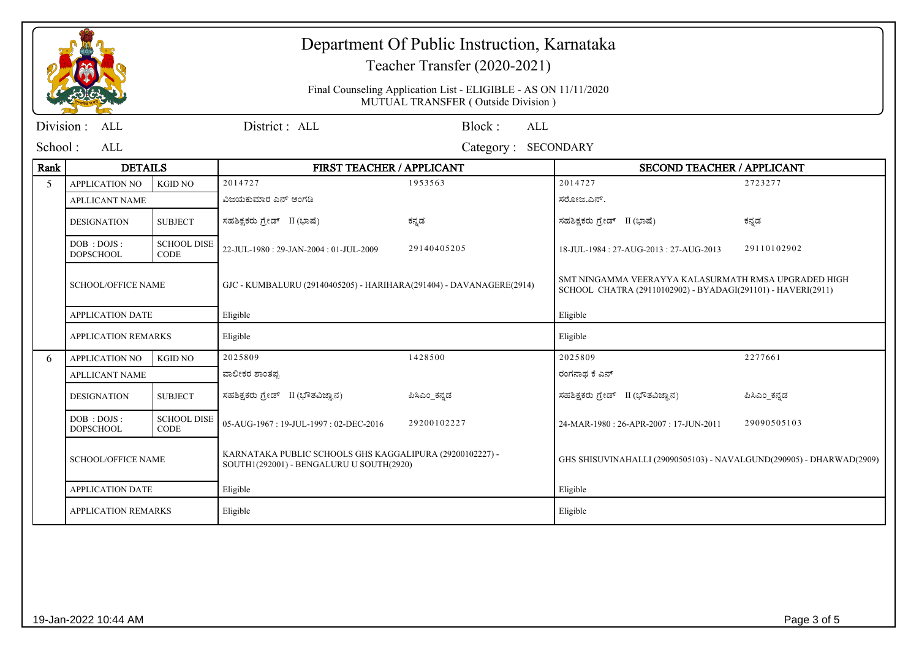|           |                                                                                                                                   |                                   |                                                                                                       | Department Of Public Instruction, Karnataka<br>Teacher Transfer (2020-2021) |                                                                                                                      |              |  |
|-----------|-----------------------------------------------------------------------------------------------------------------------------------|-----------------------------------|-------------------------------------------------------------------------------------------------------|-----------------------------------------------------------------------------|----------------------------------------------------------------------------------------------------------------------|--------------|--|
|           |                                                                                                                                   |                                   | Final Counseling Application List - ELIGIBLE - AS ON 11/11/2020<br>MUTUAL TRANSFER (Outside Division) |                                                                             |                                                                                                                      |              |  |
| Division: | <b>ALL</b>                                                                                                                        |                                   | District: ALL                                                                                         | Block:<br><b>ALL</b>                                                        |                                                                                                                      |              |  |
| School:   | ALL                                                                                                                               |                                   |                                                                                                       | Category: SECONDARY                                                         |                                                                                                                      |              |  |
| Rank      | <b>DETAILS</b>                                                                                                                    |                                   | FIRST TEACHER / APPLICANT                                                                             |                                                                             | <b>SECOND TEACHER / APPLICANT</b>                                                                                    |              |  |
| 5         | <b>APPLICATION NO</b>                                                                                                             | <b>KGID NO</b>                    | 2014727                                                                                               | 1953563                                                                     | 2014727                                                                                                              | 2723277      |  |
|           | <b>APLLICANT NAME</b>                                                                                                             |                                   | ವಿಜಯಕುಮಾರ ಎನ್ ಅಂಗಡಿ                                                                                   |                                                                             | ಸರೋಜ.ಎನ್.                                                                                                            |              |  |
|           | <b>DESIGNATION</b>                                                                                                                | <b>SUBJECT</b>                    | ಸಹಶಿಕ್ಷಕರು ಗ್ರೇಡ್ II (ಭಾಷೆ)                                                                           | ಕನ್ನಡ                                                                       | ಸಹಶಿಕ್ಷಕರು ಗ್ರೇಡ್ II (ಭಾಷೆ)                                                                                          | ಕನ್ನಡ        |  |
|           | DOB : DOJS :<br><b>DOPSCHOOL</b>                                                                                                  | <b>SCHOOL DISE</b><br><b>CODE</b> | 22-JUL-1980: 29-JAN-2004: 01-JUL-2009                                                                 | 29140405205                                                                 | 18-JUL-1984: 27-AUG-2013: 27-AUG-2013                                                                                | 29110102902  |  |
|           | <b>SCHOOL/OFFICE NAME</b>                                                                                                         |                                   | GJC - KUMBALURU (29140405205) - HARIHARA(291404) - DAVANAGERE(2914)                                   |                                                                             | SMT NINGAMMA VEERAYYA KALASURMATH RMSA UPGRADED HIGH<br>SCHOOL CHATRA (29110102902) - BYADAGI(291101) - HAVERI(2911) |              |  |
|           | <b>APPLICATION DATE</b>                                                                                                           |                                   | Eligible                                                                                              |                                                                             | Eligible                                                                                                             |              |  |
|           | <b>APPLICATION REMARKS</b>                                                                                                        |                                   | Eligible                                                                                              |                                                                             | Eligible                                                                                                             |              |  |
| 6         | APPLICATION NO                                                                                                                    | <b>KGID NO</b>                    | 2025809                                                                                               | 1428500                                                                     | 2025809                                                                                                              | 2277661      |  |
|           | <b>APLLICANT NAME</b>                                                                                                             |                                   | ವಾಲೀಕರ ಶಾಂತಪ್ರ                                                                                        |                                                                             | ರಂಗನಾಥ ಕೆ ಎನ್                                                                                                        |              |  |
|           | <b>DESIGNATION</b>                                                                                                                | <b>SUBJECT</b>                    | ಸಹಶಿಕ್ಷಕರು ಗ್ರೇಡ್ II (ಭೌತವಿಜ್ಞಾನ)                                                                     | ಪಿಸಿಎಂ_ಕನ್ನಡ                                                                | ಸಹಶಿಕ್ಷಕರು ಗ್ರೇಡ್ II (ಭೌತವಿಜ್ಞಾನ)                                                                                    | ಪಿಸಿಎಂ_ಕನ್ನಡ |  |
|           | DOB: DOJS:<br><b>DOPSCHOOL</b>                                                                                                    | <b>SCHOOL DISE</b><br><b>CODE</b> | 05-AUG-1967: 19-JUL-1997: 02-DEC-2016                                                                 | 29200102227                                                                 | 24-MAR-1980 : 26-APR-2007 : 17-JUN-2011                                                                              | 29090505103  |  |
|           | KARNATAKA PUBLIC SCHOOLS GHS KAGGALIPURA (29200102227) -<br><b>SCHOOL/OFFICE NAME</b><br>SOUTH1(292001) - BENGALURU U SOUTH(2920) |                                   |                                                                                                       | GHS SHISUVINAHALLI (29090505103) - NAVALGUND(290905) - DHARWAD(2909)        |                                                                                                                      |              |  |
|           | <b>APPLICATION DATE</b>                                                                                                           |                                   | Eligible                                                                                              |                                                                             | Eligible                                                                                                             |              |  |
|           | <b>APPLICATION REMARKS</b>                                                                                                        |                                   | Eligible                                                                                              |                                                                             | Eligible                                                                                                             |              |  |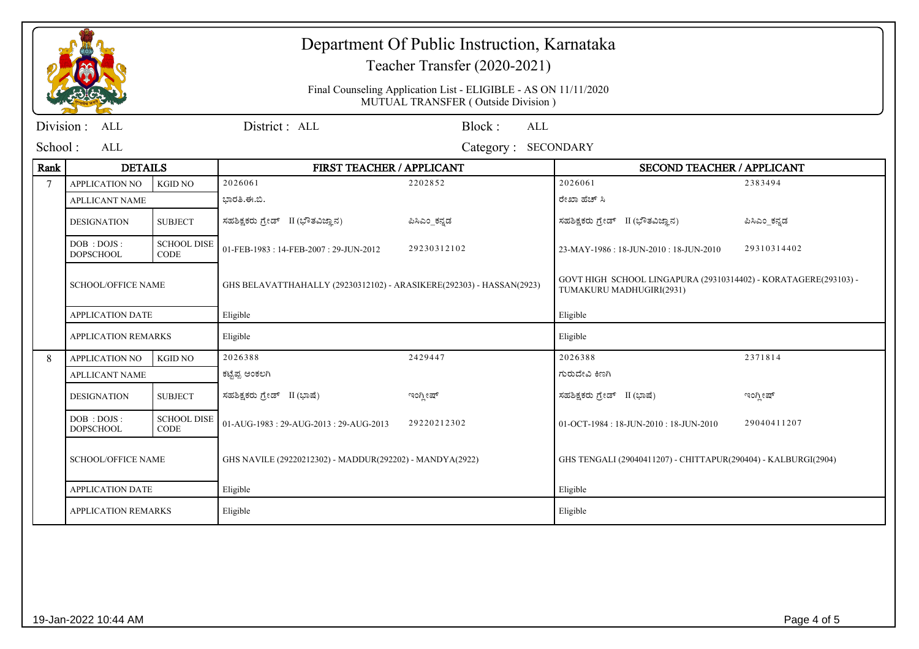|                |                                |                                   |                                                                                                       | Department Of Public Instruction, Karnataka<br>Teacher Transfer (2020-2021) |                                                                                             |              |  |
|----------------|--------------------------------|-----------------------------------|-------------------------------------------------------------------------------------------------------|-----------------------------------------------------------------------------|---------------------------------------------------------------------------------------------|--------------|--|
|                |                                |                                   | Final Counseling Application List - ELIGIBLE - AS ON 11/11/2020<br>MUTUAL TRANSFER (Outside Division) |                                                                             |                                                                                             |              |  |
| Division:      | <b>ALL</b>                     |                                   | District: ALL                                                                                         | Block:<br><b>ALL</b>                                                        |                                                                                             |              |  |
| School:        | <b>ALL</b>                     |                                   |                                                                                                       | Category: SECONDARY                                                         |                                                                                             |              |  |
| Rank           | <b>DETAILS</b>                 |                                   | <b>FIRST TEACHER / APPLICANT</b>                                                                      |                                                                             | <b>SECOND TEACHER / APPLICANT</b>                                                           |              |  |
| $\overline{7}$ | APPLICATION NO                 | <b>KGID NO</b>                    | 2026061                                                                                               | 2202852                                                                     | 2026061                                                                                     | 2383494      |  |
|                | <b>APLLICANT NAME</b>          |                                   | ಭಾರತಿ.ಈ.ಬಿ.                                                                                           |                                                                             | ರೇಖಾ ಹೆಚ್ ಸಿ                                                                                |              |  |
|                | <b>DESIGNATION</b>             | <b>SUBJECT</b>                    | ಸಹಶಿಕ್ಷಕರು ಗ್ರೇಡ್ II (ಭೌತವಿಜ್ಞಾನ)                                                                     | ಪಿಸಿಎಂ_ಕನ್ನಡ                                                                | ಸಹಶಿಕ್ಷಕರು ಗ್ರೇಡ್ II (ಭೌತವಿಜ್ಞಾನ)                                                           | ಪಿಸಿಎಂ_ಕನ್ನಡ |  |
|                | DOB: DOJS:<br><b>DOPSCHOOL</b> | <b>SCHOOL DISE</b><br><b>CODE</b> | 01-FEB-1983: 14-FEB-2007: 29-JUN-2012                                                                 | 29230312102                                                                 | 23-MAY-1986: 18-JUN-2010: 18-JUN-2010                                                       | 29310314402  |  |
|                | <b>SCHOOL/OFFICE NAME</b>      |                                   | GHS BELAVATTHAHALLY (29230312102) - ARASIKERE(292303) - HASSAN(2923)                                  |                                                                             | GOVT HIGH SCHOOL LINGAPURA (29310314402) - KORATAGERE(293103) -<br>TUMAKURU MADHUGIRI(2931) |              |  |
|                | <b>APPLICATION DATE</b>        |                                   | Eligible                                                                                              |                                                                             | Eligible                                                                                    |              |  |
|                | <b>APPLICATION REMARKS</b>     |                                   | Eligible                                                                                              |                                                                             | Eligible                                                                                    |              |  |
| 8              | <b>APPLICATION NO</b>          | <b>KGID NO</b>                    | 2026388                                                                                               | 2429447                                                                     | 2026388                                                                                     | 2371814      |  |
|                | <b>APLLICANT NAME</b>          |                                   | ಕಟ್ಟೆಪ್ಪ ಅಂಕಲಗಿ                                                                                       |                                                                             | ಗುರುದೇವಿ ಕಿಣಗಿ                                                                              |              |  |
|                | <b>DESIGNATION</b>             | <b>SUBJECT</b>                    | ಸಹಶಿಕ್ಷಕರು ಗ್ರೇಡ್ II (ಭಾಷೆ)                                                                           | ಇಂಗ್ಲೀಷ್                                                                    | ಸಹಶಿಕ್ಷಕರು ಗ್ರೇಡ್ II (ಭಾಷೆ)                                                                 | ಇಂಗ್ಲೀಷ್     |  |
|                | DOB: DOJS:<br><b>DOPSCHOOL</b> | <b>SCHOOL DISE</b><br><b>CODE</b> | 01-AUG-1983: 29-AUG-2013: 29-AUG-2013                                                                 | 29220212302                                                                 | 01-OCT-1984: 18-JUN-2010: 18-JUN-2010                                                       | 29040411207  |  |
|                | <b>SCHOOL/OFFICE NAME</b>      |                                   | GHS NAVILE (29220212302) - MADDUR(292202) - MANDYA(2922)                                              |                                                                             | GHS TENGALI (29040411207) - CHITTAPUR(290404) - KALBURGI(2904)                              |              |  |
|                | <b>APPLICATION DATE</b>        |                                   | Eligible                                                                                              |                                                                             | Eligible                                                                                    |              |  |
|                | APPLICATION REMARKS            |                                   | Eligible                                                                                              |                                                                             | Eligible                                                                                    |              |  |